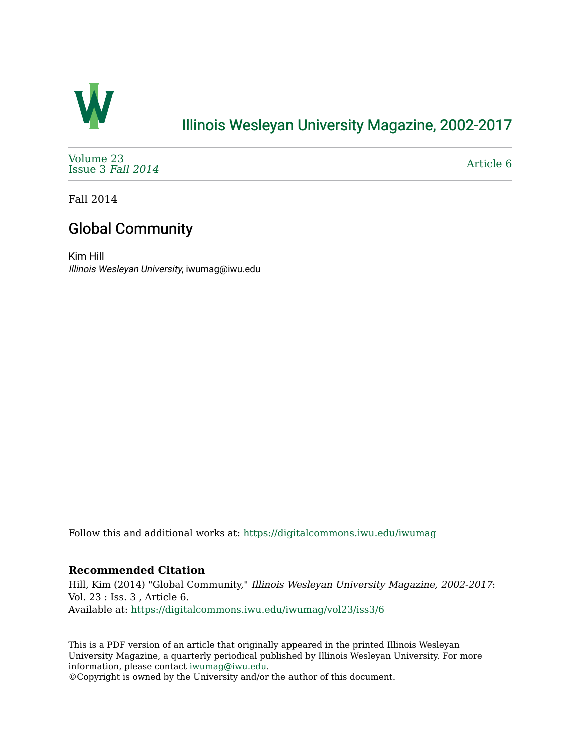

## [Illinois Wesleyan University Magazine, 2002-2017](https://digitalcommons.iwu.edu/iwumag)

[Volume 23](https://digitalcommons.iwu.edu/iwumag/vol23)  [Issue 3](https://digitalcommons.iwu.edu/iwumag/vol23/iss3) Fall 2014

[Article 6](https://digitalcommons.iwu.edu/iwumag/vol23/iss3/6) 

Fall 2014

## Global Community

Kim Hill Illinois Wesleyan University, iwumag@iwu.edu

Follow this and additional works at: [https://digitalcommons.iwu.edu/iwumag](https://digitalcommons.iwu.edu/iwumag?utm_source=digitalcommons.iwu.edu%2Fiwumag%2Fvol23%2Fiss3%2F6&utm_medium=PDF&utm_campaign=PDFCoverPages) 

#### **Recommended Citation**

Hill, Kim (2014) "Global Community," Illinois Wesleyan University Magazine, 2002-2017: Vol. 23 : Iss. 3 , Article 6. Available at: [https://digitalcommons.iwu.edu/iwumag/vol23/iss3/6](https://digitalcommons.iwu.edu/iwumag/vol23/iss3/6?utm_source=digitalcommons.iwu.edu%2Fiwumag%2Fvol23%2Fiss3%2F6&utm_medium=PDF&utm_campaign=PDFCoverPages)

This is a PDF version of an article that originally appeared in the printed Illinois Wesleyan University Magazine, a quarterly periodical published by Illinois Wesleyan University. For more information, please contact [iwumag@iwu.edu](mailto:iwumag@iwu.edu).

©Copyright is owned by the University and/or the author of this document.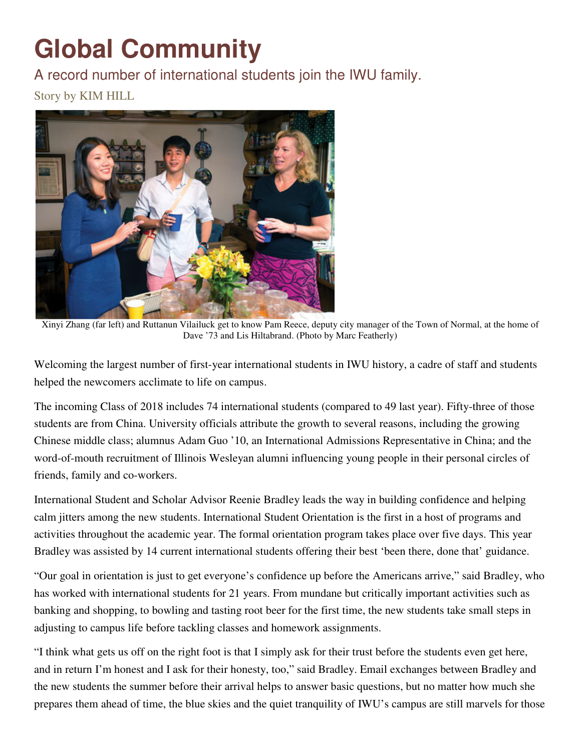# **Global Community**

A record number of international students join the IWU family. Story by KIM HILL



Xinyi Zhang (far left) and Ruttanun Vilailuck get to know Pam Reece, deputy city manager of the Town of Normal, at the home of Dave '73 and Lis Hiltabrand. (Photo by Marc Featherly)

Welcoming the largest number of first-year international students in IWU history, a cadre of staff and students helped the newcomers acclimate to life on campus.

The incoming Class of 2018 includes 74 international students (compared to 49 last year). Fifty-three of those students are from China. University officials attribute the growth to several reasons, including the growing Chinese middle class; alumnus Adam Guo '10, an International Admissions Representative in China; and the word-of-mouth recruitment of Illinois Wesleyan alumni influencing young people in their personal circles of friends, family and co-workers.

International Student and Scholar Advisor Reenie Bradley leads the way in building confidence and helping calm jitters among the new students. International Student Orientation is the first in a host of programs and activities throughout the academic year. The formal orientation program takes place over five days. This year Bradley was assisted by 14 current international students offering their best 'been there, done that' guidance.

"Our goal in orientation is just to get everyone's confidence up before the Americans arrive," said Bradley, who has worked with international students for 21 years. From mundane but critically important activities such as banking and shopping, to bowling and tasting root beer for the first time, the new students take small steps in adjusting to campus life before tackling classes and homework assignments.

"I think what gets us off on the right foot is that I simply ask for their trust before the students even get here, and in return I'm honest and I ask for their honesty, too," said Bradley. Email exchanges between Bradley and the new students the summer before their arrival helps to answer basic questions, but no matter how much she prepares them ahead of time, the blue skies and the quiet tranquility of IWU's campus are still marvels for those